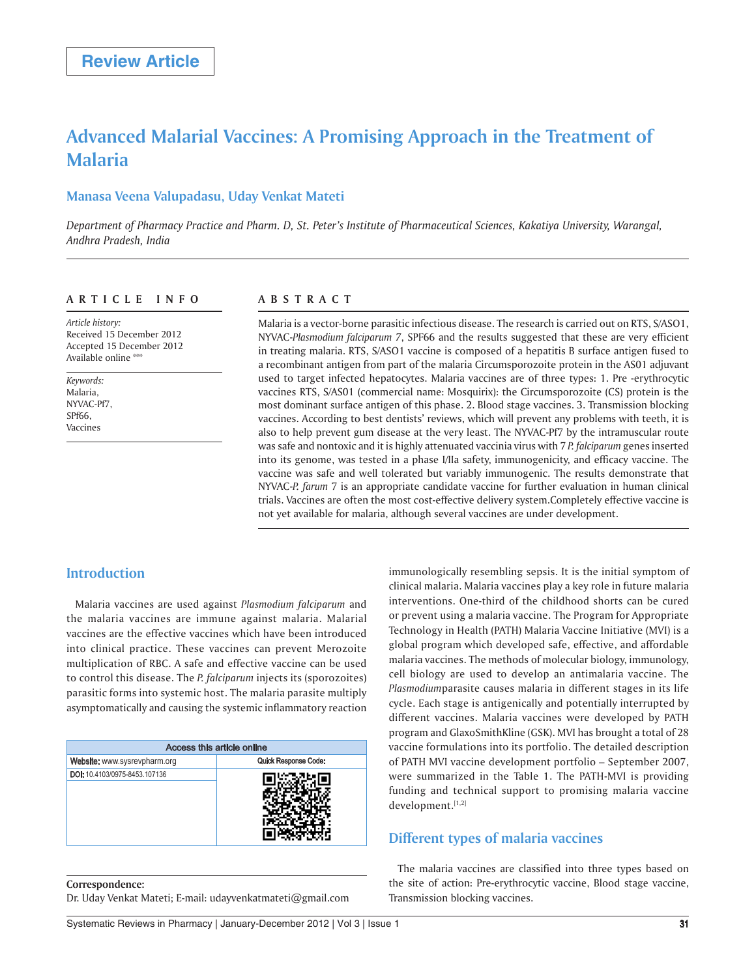# **Advanced Malarial Vaccines: A Promising Approach in the Treatment of Malaria**

# **Manasa Veena Valupadasu, Uday Venkat Mateti**

*Department of Pharmacy Practice and Pharm. D, St. Peter's Institute of Pharmaceutical Sciences, Kakatiya University, Warangal, Andhra Pradesh, India*

## **ARTICLE INFO**

*Article history:*  Received 15 December 2012 Accepted 15 December 2012 Available online \*

*Keywords:*  Malaria, NYVAC-Pf7, SPf66, Vaccines

# **ABSTRACT**

Malaria is a vector-borne parasitic infectious disease. The research is carried out on RTS, S/ASO1, NYVAC-*Plasmodium falciparum 7*, SPF66 and the results suggested that these are very efficient in treating malaria. RTS, S/ASO1 vaccine is composed of a hepatitis B surface antigen fused to a recombinant antigen from part of the malaria Circumsporozoite protein in the AS01 adjuvant used to target infected hepatocytes. Malaria vaccines are of three types: 1. Pre -erythrocytic vaccines RTS, S/AS01 (commercial name: Mosquirix): the Circumsporozoite (CS) protein is the most dominant surface antigen of this phase. 2. Blood stage vaccines. 3. Transmission blocking vaccines. According to best dentists' reviews, which will prevent any problems with teeth, it is also to help prevent gum disease at the very least. The NYVAC-Pf7 by the intramuscular route was safe and nontoxic and it is highly attenuated vaccinia virus with 7 *P. falciparum* genes inserted into its genome, was tested in a phase I/IIa safety, immunogenicity, and efficacy vaccine. The vaccine was safe and well tolerated but variably immunogenic. The results demonstrate that NYVAC-*P. farum* 7 is an appropriate candidate vaccine for further evaluation in human clinical trials. Vaccines are often the most cost-effective delivery system.Completely effective vaccine is not yet available for malaria, although several vaccines are under development.

# **Introduction**

Malaria vaccines are used against *Plasmodium falciparum* and the malaria vaccines are immune against malaria. Malarial vaccines are the effective vaccines which have been introduced into clinical practice. These vaccines can prevent Merozoite multiplication of RBC. A safe and effective vaccine can be used to control this disease. The *P. falciparum* injects its (sporozoites) parasitic forms into systemic host. The malaria parasite multiply asymptomatically and causing the systemic inflammatory reaction

| Access this article online    |                      |  |
|-------------------------------|----------------------|--|
| Website: www.sysrevpharm.org  | Quick Response Code: |  |
| DOI: 10.4103/0975-8453.107136 |                      |  |

## **Correspondence:** Dr. Uday Venkat Mateti; E-mail: udayvenkatmateti@gmail.com

immunologically resembling sepsis. It is the initial symptom of clinical malaria. Malaria vaccines play a key role in future malaria interventions. One-third of the childhood shorts can be cured or prevent using a malaria vaccine. The Program for Appropriate Technology in Health (PATH) Malaria Vaccine Initiative (MVI) is a global program which developed safe, effective, and affordable malaria vaccines. The methods of molecular biology, immunology, cell biology are used to develop an antimalaria vaccine. The *Plasmodium*parasite causes malaria in different stages in its life cycle. Each stage is antigenically and potentially interrupted by different vaccines. Malaria vaccines were developed by PATH program and GlaxoSmithKline (GSK). MVI has brought a total of 28 vaccine formulations into its portfolio. The detailed description of PATH MVI vaccine development portfolio – September 2007, were summarized in the Table 1. The PATH-MVI is providing funding and technical support to promising malaria vaccine development.[1,2]

## **Different types of malaria vaccines**

The malaria vaccines are classified into three types based on the site of action: Pre-erythrocytic vaccine, Blood stage vaccine, Transmission blocking vaccines.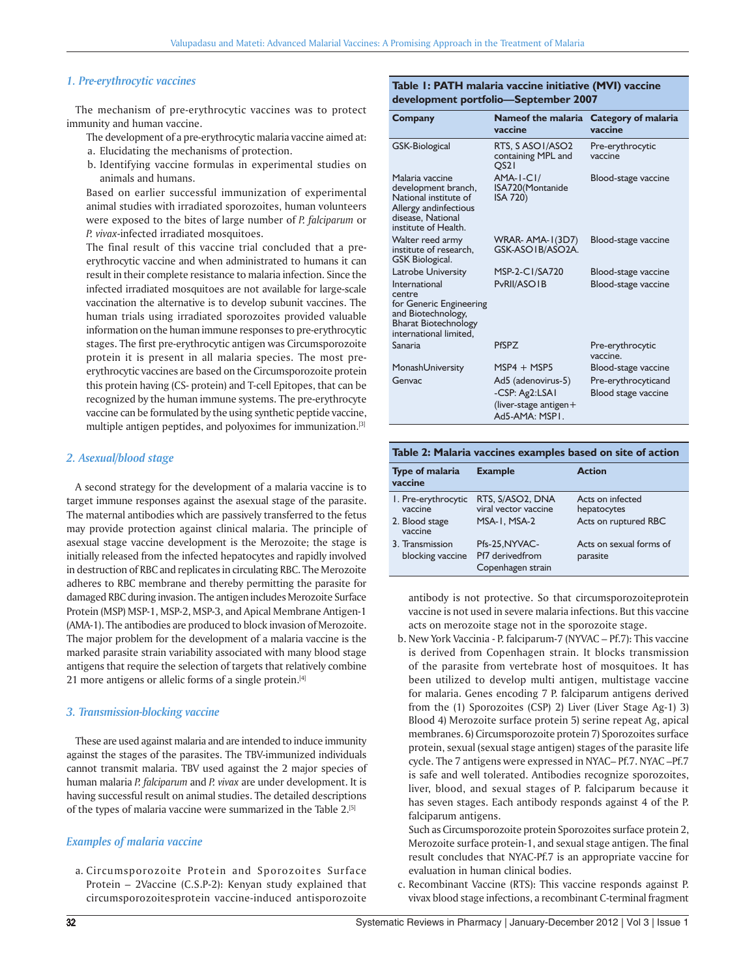## *1. Pre-erythrocytic vaccines*

The mechanism of pre-erythrocytic vaccines was to protect immunity and human vaccine.

- The development of a pre-erythrocytic malaria vaccine aimed at:
- a. Elucidating the mechanisms of protection.
- b. Identifying vaccine formulas in experimental studies on animals and humans.

 Based on earlier successful immunization of experimental animal studies with irradiated sporozoites, human volunteers were exposed to the bites of large number of *P. falciparum* or *P. vivax*-infected irradiated mosquitoes.

 The final result of this vaccine trial concluded that a preerythrocytic vaccine and when administrated to humans it can result in their complete resistance to malaria infection. Since the infected irradiated mosquitoes are not available for large-scale vaccination the alternative is to develop subunit vaccines. The human trials using irradiated sporozoites provided valuable information on the human immune responses to pre-erythrocytic stages. The first pre-erythrocytic antigen was Circumsporozoite protein it is present in all malaria species. The most preerythrocytic vaccines are based on the Circumsporozoite protein this protein having (CS- protein) and T-cell Epitopes, that can be recognized by the human immune systems. The pre-erythrocyte vaccine can be formulated by the using synthetic peptide vaccine, multiple antigen peptides, and polyoximes for immunization.[3]

## *2. Asexual/blood stage*

A second strategy for the development of a malaria vaccine is to target immune responses against the asexual stage of the parasite. The maternal antibodies which are passively transferred to the fetus may provide protection against clinical malaria. The principle of asexual stage vaccine development is the Merozoite; the stage is initially released from the infected hepatocytes and rapidly involved in destruction of RBC and replicates in circulating RBC. The Merozoite adheres to RBC membrane and thereby permitting the parasite for damaged RBC during invasion. The antigen includes Merozoite Surface Protein (MSP) MSP-1, MSP-2, MSP-3, and Apical Membrane Antigen-1 (AMA-1). The antibodies are produced to block invasion of Merozoite. The major problem for the development of a malaria vaccine is the marked parasite strain variability associated with many blood stage antigens that require the selection of targets that relatively combine 21 more antigens or allelic forms of a single protein.<sup>[4]</sup>

#### *3. Transmission-blocking vaccine*

These are used against malaria and are intended to induce immunity against the stages of the parasites. The TBV-immunized individuals cannot transmit malaria. TBV used against the 2 major species of human malaria *P. falciparum* and *P. vivax* are under development. It is having successful result on animal studies. The detailed descriptions of the types of malaria vaccine were summarized in the Table 2.[5]

#### *Examples of malaria vaccine*

a. Circumsporozoite Protein and Sporozoites Surface Protein – 2Vaccine (C.S.P-2): Kenyan study explained that circumsporozoitesprotein vaccine-induced antisporozoite

#### **Table 1: PATH malaria vaccine initiative (MVI) vaccine development portfolio—September 2007**

| Company                                                                                                                                | Nameof the malaria<br>vaccine                                                   | Category of malaria<br>vaccine             |
|----------------------------------------------------------------------------------------------------------------------------------------|---------------------------------------------------------------------------------|--------------------------------------------|
| GSK-Biological                                                                                                                         | RTS, S ASO I/ASO2<br>containing MPL and<br>OS <sub>2</sub> 1                    | Pre-erythrocytic<br>vaccine                |
| Malaria vaccine<br>development branch,<br>National institute of<br>Allergy and infectious<br>disease, National<br>institute of Health. | $AMA-I-CI/$<br>ISA720(Montanide<br>ISA 720)                                     | Blood-stage vaccine                        |
| Walter reed army<br>institute of research.<br><b>GSK Biological.</b>                                                                   | WRAR- AMA-1(3D7)<br>GSK-ASOIB/ASO2A.                                            | Blood-stage vaccine                        |
| Latrobe University                                                                                                                     | MSP-2-C1/SA720                                                                  | Blood-stage vaccine                        |
| International<br>centre<br>for Generic Engineering<br>and Biotechnology,<br><b>Bharat Biotechnology</b><br>international limited.      | PvRII/ASO <sub>IB</sub>                                                         | Blood-stage vaccine                        |
| Sanaria                                                                                                                                | PfSP7                                                                           | Pre-erythrocytic<br>vaccine.               |
| MonashUniversity                                                                                                                       | $MSP4 + MSP5$                                                                   | Blood-stage vaccine                        |
| Genvac                                                                                                                                 | Ad5 (adenovirus-5)<br>-CSP: Ag2:LSAI<br>(liver-stage antigen+<br>Ad5-AMA: MSPI. | Pre-erythrocyticand<br>Blood stage vaccine |

**Table 2: Malaria vaccines examples based on site of action**

| <b>Type of malaria</b><br>vaccine   | <b>Example</b>                                        | <b>Action</b>                       |
|-------------------------------------|-------------------------------------------------------|-------------------------------------|
| I. Pre-erythrocytic<br>vaccine      | RTS, S/ASO2, DNA<br>viral vector vaccine              | Acts on infected<br>hepatocytes     |
| 2. Blood stage<br>vaccine           | MSA-1, MSA-2                                          | Acts on ruptured RBC                |
| 3. Transmission<br>blocking vaccine | Pfs-25.NYVAC-<br>Pf7 derivedfrom<br>Copenhagen strain | Acts on sexual forms of<br>parasite |

antibody is not protective. So that circumsporozoiteprotein vaccine is not used in severe malaria infections. But this vaccine acts on merozoite stage not in the sporozoite stage.

b. New York Vaccinia - P. falciparum-7 (NYVAC – Pf.7): This vaccine is derived from Copenhagen strain. It blocks transmission of the parasite from vertebrate host of mosquitoes. It has been utilized to develop multi antigen, multistage vaccine for malaria. Genes encoding 7 P. falciparum antigens derived from the (1) Sporozoites (CSP) 2) Liver (Liver Stage Ag-1) 3) Blood 4) Merozoite surface protein 5) serine repeat Ag, apical membranes. 6) Circumsporozoite protein 7) Sporozoites surface protein, sexual (sexual stage antigen) stages of the parasite life cycle. The 7 antigens were expressed in NYAC– Pf.7. NYAC –Pf.7 is safe and well tolerated. Antibodies recognize sporozoites, liver, blood, and sexual stages of P. falciparum because it has seven stages. Each antibody responds against 4 of the P. falciparum antigens.

 Such as Circumsporozoite protein Sporozoites surface protein 2, Merozoite surface protein-1, and sexual stage antigen. The final result concludes that NYAC-Pf.7 is an appropriate vaccine for evaluation in human clinical bodies.

c. Recombinant Vaccine (RTS): This vaccine responds against P. vivax blood stage infections, a recombinant C-terminal fragment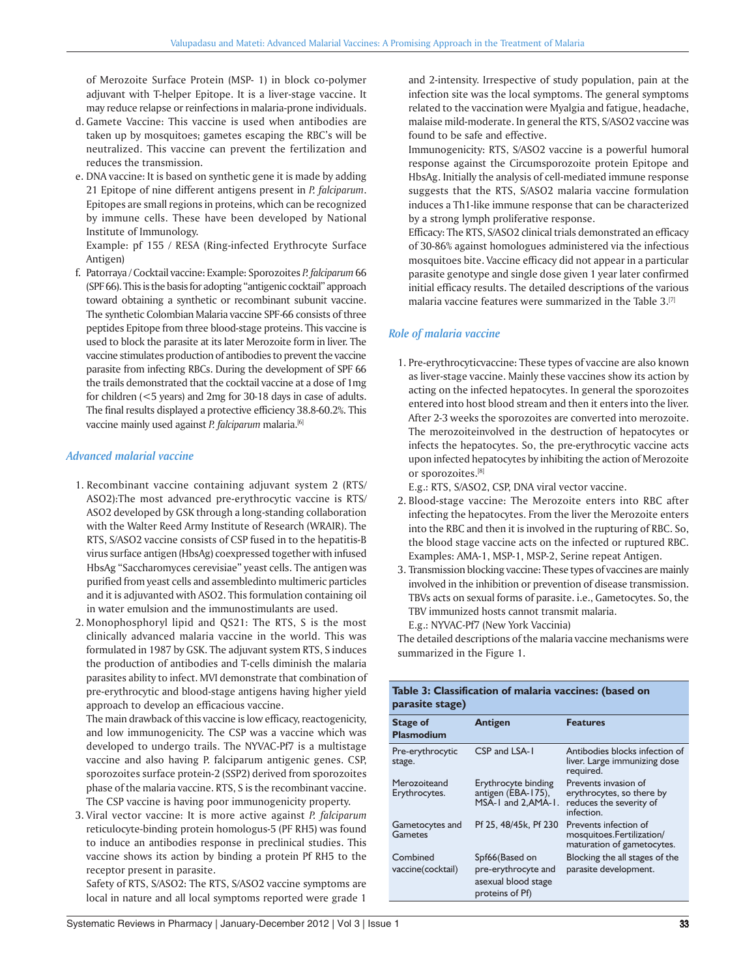of Merozoite Surface Protein (MSP- 1) in block co-polymer adjuvant with T-helper Epitope. It is a liver-stage vaccine. It may reduce relapse or reinfections in malaria-prone individuals.

- d. Gamete Vaccine: This vaccine is used when antibodies are taken up by mosquitoes; gametes escaping the RBC's will be neutralized. This vaccine can prevent the fertilization and reduces the transmission.
- e. DNA vaccine: It is based on synthetic gene it is made by adding 21 Epitope of nine different antigens present in *P. falciparum*. Epitopes are small regions in proteins, which can be recognized by immune cells. These have been developed by National Institute of Immunology.

 Example: pf 155 / RESA (Ring-infected Erythrocyte Surface Antigen)

f. Patorraya / Cocktail vaccine: Example: Sporozoites *P. falciparum* 66 (SPF 66). This is the basis for adopting "antigenic cocktail" approach toward obtaining a synthetic or recombinant subunit vaccine. The synthetic Colombian Malaria vaccine SPF-66 consists of three peptides Epitope from three blood-stage proteins. This vaccine is used to block the parasite at its later Merozoite form in liver. The vaccine stimulates production of antibodies to prevent the vaccine parasite from infecting RBCs. During the development of SPF 66 the trails demonstrated that the cocktail vaccine at a dose of 1mg for children (<5 years) and 2mg for 30-18 days in case of adults. The final results displayed a protective efficiency 38.8-60.2%. This vaccine mainly used against *P. falciparum* malaria.[6]

## *Advanced malarial vaccine*

- 1. Recombinant vaccine containing adjuvant system 2 (RTS/ ASO2):The most advanced pre-erythrocytic vaccine is RTS/ ASO2 developed by GSK through a long-standing collaboration with the Walter Reed Army Institute of Research (WRAIR). The RTS, S/ASO2 vaccine consists of CSP fused in to the hepatitis-B virus surface antigen (HbsAg) coexpressed together with infused HbsAg "Saccharomyces cerevisiae" yeast cells. The antigen was purified from yeast cells and assembledinto multimeric particles and it is adjuvanted with ASO2. This formulation containing oil in water emulsion and the immunostimulants are used.
- 2. Monophosphoryl lipid and QS21: The RTS, S is the most clinically advanced malaria vaccine in the world. This was formulated in 1987 by GSK. The adjuvant system RTS, S induces the production of antibodies and T-cells diminish the malaria parasites ability to infect. MVI demonstrate that combination of pre-erythrocytic and blood-stage antigens having higher yield approach to develop an efficacious vaccine.

 The main drawback of this vaccine is low efficacy, reactogenicity, and low immunogenicity. The CSP was a vaccine which was developed to undergo trails. The NYVAC-Pf7 is a multistage vaccine and also having P. falciparum antigenic genes. CSP, sporozoites surface protein-2 (SSP2) derived from sporozoites phase of the malaria vaccine. RTS, S is the recombinant vaccine. The CSP vaccine is having poor immunogenicity property.

3. Viral vector vaccine: It is more active against *P. falciparum* reticulocyte-binding protein homologus-5 (PF RH5) was found to induce an antibodies response in preclinical studies. This vaccine shows its action by binding a protein Pf RH5 to the receptor present in parasite.

 Safety of RTS, S/ASO2: The RTS, S/ASO2 vaccine symptoms are local in nature and all local symptoms reported were grade 1

and 2-intensity. Irrespective of study population, pain at the infection site was the local symptoms. The general symptoms related to the vaccination were Myalgia and fatigue, headache, malaise mild-moderate. In general the RTS, S/ASO2 vaccine was found to be safe and effective.

 Immunogenicity: RTS, S/ASO2 vaccine is a powerful humoral response against the Circumsporozoite protein Epitope and HbsAg. Initially the analysis of cell-mediated immune response suggests that the RTS, S/ASO2 malaria vaccine formulation induces a Th1-like immune response that can be characterized by a strong lymph proliferative response.

 Efficacy: The RTS, S/ASO2 clinical trials demonstrated an efficacy of 30-86% against homologues administered via the infectious mosquitoes bite. Vaccine efficacy did not appear in a particular parasite genotype and single dose given 1 year later confirmed initial efficacy results. The detailed descriptions of the various malaria vaccine features were summarized in the Table 3.[7]

## *Role of malaria vaccine*

1. Pre-erythrocyticvaccine: These types of vaccine are also known as liver-stage vaccine. Mainly these vaccines show its action by acting on the infected hepatocytes. In general the sporozoites entered into host blood stream and then it enters into the liver. After 2-3 weeks the sporozoites are converted into merozoite. The merozoiteinvolved in the destruction of hepatocytes or infects the hepatocytes. So, the pre-erythrocytic vaccine acts upon infected hepatocytes by inhibiting the action of Merozoite or sporozoites.[8]

E.g.: RTS, S/ASO2, CSP, DNA viral vector vaccine.

- 2. Blood-stage vaccine: The Merozoite enters into RBC after infecting the hepatocytes. From the liver the Merozoite enters into the RBC and then it is involved in the rupturing of RBC. So, the blood stage vaccine acts on the infected or ruptured RBC. Examples: AMA-1, MSP-1, MSP-2, Serine repeat Antigen.
- 3. Transmission blocking vaccine: These types of vaccines are mainly involved in the inhibition or prevention of disease transmission. TBVs acts on sexual forms of parasite. i.e., Gametocytes. So, the TBV immunized hosts cannot transmit malaria. E.g.: NYVAC-Pf7 (New York Vaccinia)

The detailed descriptions of the malaria vaccine mechanisms were summarized in the Figure 1.

**Table 3: Classification of malaria vaccines: (based on** 

| parasite stage)               |                                                                                 |                                                                                            |  |  |
|-------------------------------|---------------------------------------------------------------------------------|--------------------------------------------------------------------------------------------|--|--|
| Stage of<br><b>Plasmodium</b> | <b>Antigen</b>                                                                  | <b>Features</b>                                                                            |  |  |
| Pre-erythrocytic<br>stage.    | CSP and LSA-1                                                                   | Antibodies blocks infection of<br>liver. Large immunizing dose<br>required.                |  |  |
| Merozoiteand<br>Erythrocytes. | Erythrocyte binding<br>antigen (EBA-175),<br>MSA-1 and 2.AMA-1.                 | Prevents invasion of<br>erythrocytes, so there by<br>reduces the severity of<br>infection. |  |  |
| Gametocytes and<br>Gametes    | Pf 25, 48/45k, Pf 230                                                           | Prevents infection of<br>mosquitoes. Fertilization/<br>maturation of gametocytes.          |  |  |
| Combined<br>vaccine(cocktail) | Spf66(Based on<br>pre-erythrocyte and<br>asexual blood stage<br>proteins of Pf) | Blocking the all stages of the<br>parasite development.                                    |  |  |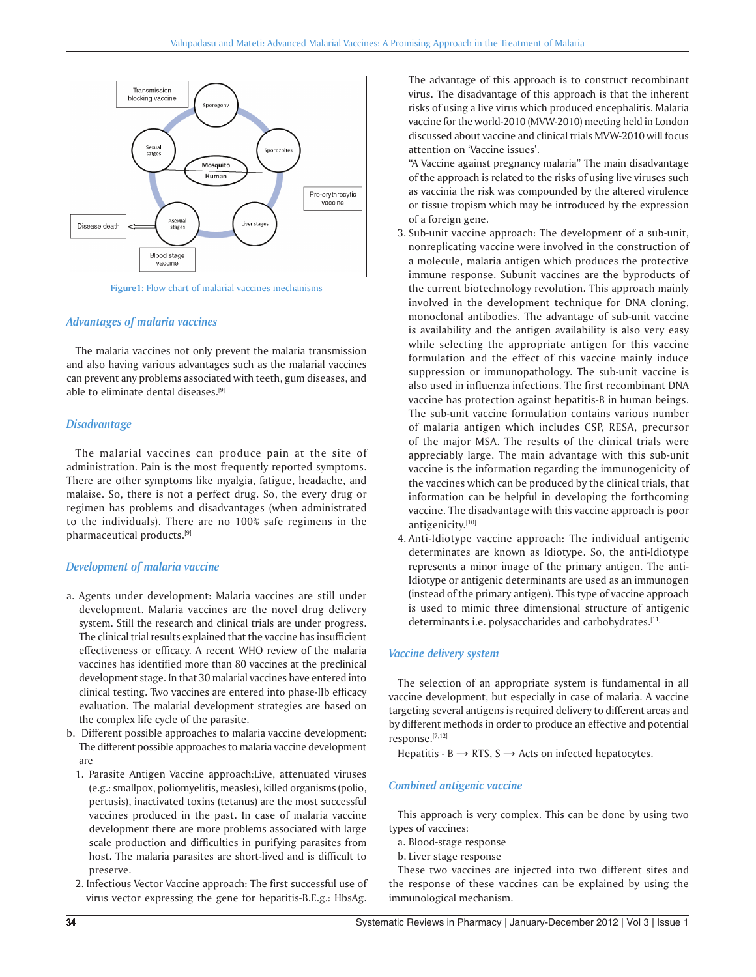

**Figure1:** Flow chart of malarial vaccines mechanisms

## *Advantages of malaria vaccines*

The malaria vaccines not only prevent the malaria transmission and also having various advantages such as the malarial vaccines can prevent any problems associated with teeth, gum diseases, and able to eliminate dental diseases.[9]

## *Disadvantage*

The malarial vaccines can produce pain at the site of administration. Pain is the most frequently reported symptoms. There are other symptoms like myalgia, fatigue, headache, and malaise. So, there is not a perfect drug. So, the every drug or regimen has problems and disadvantages (when administrated to the individuals). There are no 100% safe regimens in the pharmaceutical products.[9]

## *Development of malaria vaccine*

- a. Agents under development: Malaria vaccines are still under development. Malaria vaccines are the novel drug delivery system. Still the research and clinical trials are under progress. The clinical trial results explained that the vaccine has insufficient effectiveness or efficacy. A recent WHO review of the malaria vaccines has identified more than 80 vaccines at the preclinical development stage. In that 30 malarial vaccines have entered into clinical testing. Two vaccines are entered into phase-IIb efficacy evaluation. The malarial development strategies are based on the complex life cycle of the parasite.
- b. Different possible approaches to malaria vaccine development: The different possible approaches to malaria vaccine development are
	- 1. Parasite Antigen Vaccine approach:Live, attenuated viruses (e.g.: smallpox, poliomyelitis, measles), killed organisms (polio, pertusis), inactivated toxins (tetanus) are the most successful vaccines produced in the past. In case of malaria vaccine development there are more problems associated with large scale production and difficulties in purifying parasites from host. The malaria parasites are short-lived and is difficult to preserve.
	- 2. Infectious Vector Vaccine approach: The first successful use of virus vector expressing the gene for hepatitis-B.E.g.: HbsAg.

The advantage of this approach is to construct recombinant virus. The disadvantage of this approach is that the inherent risks of using a live virus which produced encephalitis. Malaria vaccine for the world-2010 (MVW-2010) meeting held in London discussed about vaccine and clinical trials MVW-2010 will focus attention on 'Vaccine issues'.

 "A Vaccine against pregnancy malaria" The main disadvantage of the approach is related to the risks of using live viruses such as vaccinia the risk was compounded by the altered virulence or tissue tropism which may be introduced by the expression of a foreign gene.

- 3. Sub-unit vaccine approach: The development of a sub-unit, nonreplicating vaccine were involved in the construction of a molecule, malaria antigen which produces the protective immune response. Subunit vaccines are the byproducts of the current biotechnology revolution. This approach mainly involved in the development technique for DNA cloning, monoclonal antibodies. The advantage of sub-unit vaccine is availability and the antigen availability is also very easy while selecting the appropriate antigen for this vaccine formulation and the effect of this vaccine mainly induce suppression or immunopathology. The sub-unit vaccine is also used in influenza infections. The first recombinant DNA vaccine has protection against hepatitis-B in human beings. The sub-unit vaccine formulation contains various number of malaria antigen which includes CSP, RESA, precursor of the major MSA. The results of the clinical trials were appreciably large. The main advantage with this sub-unit vaccine is the information regarding the immunogenicity of the vaccines which can be produced by the clinical trials, that information can be helpful in developing the forthcoming vaccine. The disadvantage with this vaccine approach is poor antigenicity.[10]
- 4. Anti-Idiotype vaccine approach: The individual antigenic determinates are known as Idiotype. So, the anti-Idiotype represents a minor image of the primary antigen. The anti-Idiotype or antigenic determinants are used as an immunogen (instead of the primary antigen). This type of vaccine approach is used to mimic three dimensional structure of antigenic determinants i.e. polysaccharides and carbohydrates.<sup>[11]</sup>

#### *Vaccine delivery system*

The selection of an appropriate system is fundamental in all vaccine development, but especially in case of malaria. A vaccine targeting several antigens is required delivery to different areas and by different methods in order to produce an effective and potential response.[7,12]

Hepatitis - B *→* RTS, S *→* Acts on infected hepatocytes.

## *Combined antigenic vaccine*

This approach is very complex. This can be done by using two types of vaccines:

a. Blood-stage response

b. Liver stage response

These two vaccines are injected into two different sites and the response of these vaccines can be explained by using the immunological mechanism.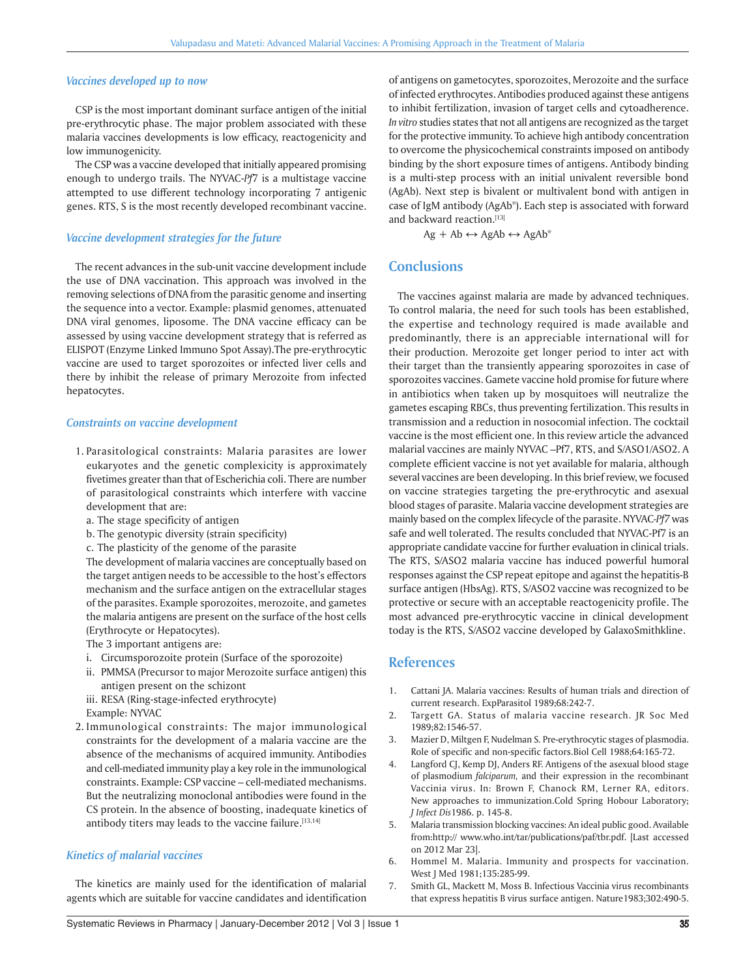#### *Vaccines developed up to now*

CSP is the most important dominant surface antigen of the initial pre-erythrocytic phase. The major problem associated with these malaria vaccines developments is low efficacy, reactogenicity and low immunogenicity.

The CSP was a vaccine developed that initially appeared promising enough to undergo trails. The NYVAC-*Pf*7 is a multistage vaccine attempted to use different technology incorporating 7 antigenic genes. RTS, S is the most recently developed recombinant vaccine.

#### *Vaccine development strategies for the future*

The recent advances in the sub-unit vaccine development include the use of DNA vaccination. This approach was involved in the removing selections of DNA from the parasitic genome and inserting the sequence into a vector. Example: plasmid genomes, attenuated DNA viral genomes, liposome. The DNA vaccine efficacy can be assessed by using vaccine development strategy that is referred as ELISPOT (Enzyme Linked Immuno Spot Assay).The pre-erythrocytic vaccine are used to target sporozoites or infected liver cells and there by inhibit the release of primary Merozoite from infected hepatocytes.

#### *Constraints on vaccine development*

- 1. Parasitological constraints: Malaria parasites are lower eukaryotes and the genetic complexicity is approximately fivetimes greater than that of Escherichia coli. There are number of parasitological constraints which interfere with vaccine development that are:
	- a. The stage specificity of antigen
	- b. The genotypic diversity (strain specificity)
	- c. The plasticity of the genome of the parasite

 The development of malaria vaccines are conceptually based on the target antigen needs to be accessible to the host's effectors mechanism and the surface antigen on the extracellular stages of the parasites. Example sporozoites, merozoite, and gametes the malaria antigens are present on the surface of the host cells (Erythrocyte or Hepatocytes).

The 3 important antigens are:

- i. Circumsporozoite protein (Surface of the sporozoite)
- ii. PMMSA (Precursor to major Merozoite surface antigen) this antigen present on the schizont
- iii. RESA (Ring-stage-infected erythrocyte)
- Example: NYVAC
- 2. Immunological constraints: The major immunological constraints for the development of a malaria vaccine are the absence of the mechanisms of acquired immunity. Antibodies and cell-mediated immunity play a key role in the immunological constraints. Example: CSP vaccine – cell-mediated mechanisms. But the neutralizing monoclonal antibodies were found in the CS protein. In the absence of boosting, inadequate kinetics of antibody titers may leads to the vaccine failure.<sup>[13,14]</sup>

#### *Kinetics of malarial vaccines*

The kinetics are mainly used for the identification of malarial agents which are suitable for vaccine candidates and identification of antigens on gametocytes, sporozoites, Merozoite and the surface of infected erythrocytes. Antibodies produced against these antigens to inhibit fertilization, invasion of target cells and cytoadherence. *In vitro* studies states that not all antigens are recognized as the target for the protective immunity. To achieve high antibody concentration to overcome the physicochemical constraints imposed on antibody binding by the short exposure times of antigens. Antibody binding is a multi-step process with an initial univalent reversible bond (AgAb). Next step is bivalent or multivalent bond with antigen in case of IgM antibody (AgAb\*). Each step is associated with forward and backward reaction.[13]

Ag + Ab *↔* AgAb *↔* AgAb\*

## **Conclusions**

The vaccines against malaria are made by advanced techniques. To control malaria, the need for such tools has been established, the expertise and technology required is made available and predominantly, there is an appreciable international will for their production. Merozoite get longer period to inter act with their target than the transiently appearing sporozoites in case of sporozoites vaccines. Gamete vaccine hold promise for future where in antibiotics when taken up by mosquitoes will neutralize the gametes escaping RBCs, thus preventing fertilization. This results in transmission and a reduction in nosocomial infection. The cocktail vaccine is the most efficient one. In this review article the advanced malarial vaccines are mainly NYVAC –Pf7, RTS, and S/ASO1/ASO2. A complete efficient vaccine is not yet available for malaria, although several vaccines are been developing. In this brief review, we focused on vaccine strategies targeting the pre-erythrocytic and asexual blood stages of parasite. Malaria vaccine development strategies are mainly based on the complex lifecycle of the parasite. NYVAC*-Pf7* was safe and well tolerated. The results concluded that NYVAC-Pf7 is an appropriate candidate vaccine for further evaluation in clinical trials. The RTS, S/ASO2 malaria vaccine has induced powerful humoral responses against the CSP repeat epitope and against the hepatitis-B surface antigen (HbsAg). RTS, S/ASO2 vaccine was recognized to be protective or secure with an acceptable reactogenicity profile. The most advanced pre-erythrocytic vaccine in clinical development today is the RTS, S/ASO2 vaccine developed by GalaxoSmithkline.

## **References**

- 1. Cattani JA. Malaria vaccines: Results of human trials and direction of current research. ExpParasitol 1989;68:242-7.
- 2. Targett GA. Status of malaria vaccine research. JR Soc Med 1989;82:1546-57.
- 3. Mazier D, Miltgen F, Nudelman S*.* Pre-erythrocytic stages of plasmodia. Role of specific and non-specific factors.Biol Cell 1988;64:165-72.
- 4. Langford CJ, Kemp DJ, Anders RF. Antigens of the asexual blood stage of plasmodium *falciparum,* and their expression in the recombinant Vaccinia virus. In: Brown F, Chanock RM, Lerner RA, editors. New approaches to immunization.Cold Spring Hobour Laboratory; *J Infect Dis*1986. p. 145-8.
- 5. Malaria transmission blocking vaccines: An ideal public good. Available from:http:// www.who.int/tar/publications/paf/tbr.pdf. [Last accessed on 2012 Mar 23].
- 6. Hommel M. Malaria. Immunity and prospects for vaccination. West I Med 1981:135:285-99.
- 7. Smith GL, Mackett M, Moss B. Infectious Vaccinia virus recombinants that express hepatitis B virus surface antigen. Nature1983;302:490-5.